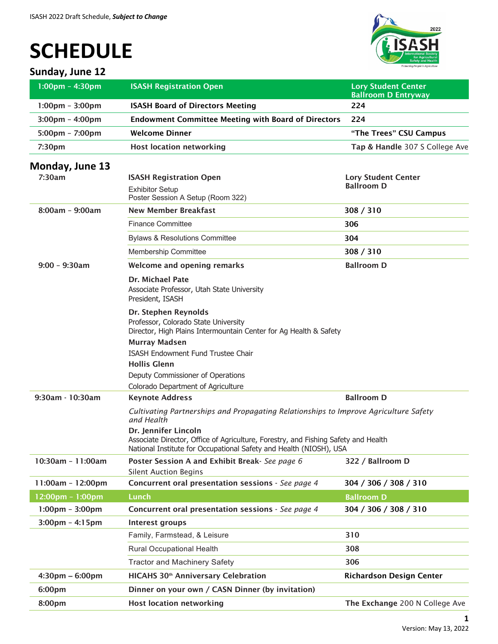# **SCHEDULE**

## **Sunday, June 12**



| $1:00 \text{pm} - 4:30 \text{pm}$<br><b>ISASH Registration Open</b><br><b>Lory Student Center</b><br><b>Ballroom D Entryway</b>                                                  |  |
|----------------------------------------------------------------------------------------------------------------------------------------------------------------------------------|--|
| <b>ISASH Board of Directors Meeting</b><br>$1:00 \text{pm} - 3:00 \text{pm}$<br>224                                                                                              |  |
| <b>Endowment Committee Meeting with Board of Directors</b><br>$3:00 \text{pm} - 4:00 \text{pm}$<br>224                                                                           |  |
| <b>Welcome Dinner</b><br>$5:00 \text{pm} - 7:00 \text{pm}$<br>"The Trees" CSU Campus                                                                                             |  |
| <b>Host location networking</b><br>Tap & Handle 307 S College Ave<br>7:30 <sub>pm</sub>                                                                                          |  |
| Monday, June 13                                                                                                                                                                  |  |
| 7:30am<br><b>ISASH Registration Open</b><br><b>Lory Student Center</b>                                                                                                           |  |
| <b>Ballroom D</b><br><b>Exhibitor Setup</b>                                                                                                                                      |  |
| Poster Session A Setup (Room 322)                                                                                                                                                |  |
| <b>New Member Breakfast</b><br>$8:00am - 9:00am$<br>308 / 310                                                                                                                    |  |
| <b>Finance Committee</b><br>306                                                                                                                                                  |  |
| <b>Bylaws &amp; Resolutions Committee</b><br>304                                                                                                                                 |  |
| Membership Committee<br>308 / 310                                                                                                                                                |  |
| $9:00 - 9:30$ am<br><b>Ballroom D</b><br>Welcome and opening remarks                                                                                                             |  |
| <b>Dr. Michael Pate</b><br>Associate Professor, Utah State University<br>President, ISASH                                                                                        |  |
| Dr. Stephen Reynolds<br>Professor, Colorado State University<br>Director, High Plains Intermountain Center for Ag Health & Safety                                                |  |
| <b>Murray Madsen</b><br>ISASH Endowment Fund Trustee Chair<br><b>Hollis Glenn</b>                                                                                                |  |
| Deputy Commissioner of Operations<br>Colorado Department of Agriculture                                                                                                          |  |
| <b>Ballroom D</b><br>$9:30$ am - 10:30am<br><b>Keynote Address</b>                                                                                                               |  |
| Cultivating Partnerships and Propagating Relationships to Improve Agriculture Safety<br>and Health                                                                               |  |
| Dr. Jennifer Lincoln<br>Associate Director, Office of Agriculture, Forestry, and Fishing Safety and Health<br>National Institute for Occupational Safety and Health (NIOSH), USA |  |
| 10:30am - 11:00am<br>Poster Session A and Exhibit Break- See page 6<br>322 / Ballroom D<br><b>Silent Auction Begins</b>                                                          |  |
| Concurrent oral presentation sessions - See page 4<br>11:00am - 12:00pm<br>304 / 306 / 308 / 310                                                                                 |  |
| <b>Lunch</b><br>12:00pm - 1:00pm<br><b>Ballroom D</b>                                                                                                                            |  |
| Concurrent oral presentation sessions - See page 4<br>$1:00 \text{pm} - 3:00 \text{pm}$<br>304 / 306 / 308 / 310                                                                 |  |
| $3:00 \text{pm} - 4:15 \text{pm}$<br>Interest groups                                                                                                                             |  |
| Family, Farmstead, & Leisure<br>310                                                                                                                                              |  |
| Rural Occupational Health<br>308                                                                                                                                                 |  |
| 306<br><b>Tractor and Machinery Safety</b>                                                                                                                                       |  |
| <b>HICAHS 30<sup>th</sup> Anniversary Celebration</b><br>$4:30 \text{pm} - 6:00 \text{pm}$<br><b>Richardson Design Center</b>                                                    |  |
| 6:00pm<br>Dinner on your own / CASN Dinner (by invitation)                                                                                                                       |  |
| <b>Host location networking</b><br>8:00pm<br>The Exchange 200 N College Ave                                                                                                      |  |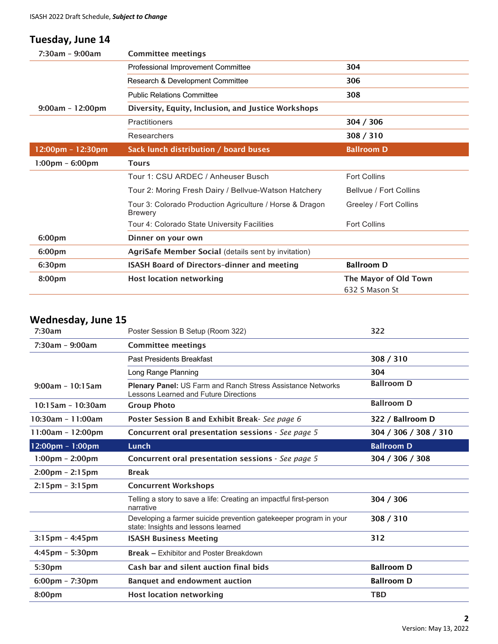## **Tuesday, June 14**

| 7:30am - 9:00am                   | <b>Committee meetings</b>                                                  |                                         |  |
|-----------------------------------|----------------------------------------------------------------------------|-----------------------------------------|--|
|                                   | Professional Improvement Committee                                         | 304                                     |  |
|                                   | Research & Development Committee                                           | 306                                     |  |
|                                   | <b>Public Relations Committee</b>                                          | 308                                     |  |
| $9:00am - 12:00pm$                | Diversity, Equity, Inclusion, and Justice Workshops                        |                                         |  |
|                                   | <b>Practitioners</b>                                                       | 304 / 306                               |  |
|                                   | Researchers                                                                | 308 / 310                               |  |
| 12:00pm - 12:30pm                 | Sack lunch distribution / board buses                                      | <b>Ballroom D</b>                       |  |
| $1:00 \text{pm} - 6:00 \text{pm}$ | <b>Tours</b>                                                               |                                         |  |
|                                   | Tour 1: CSU ARDEC / Anheuser Busch                                         | <b>Fort Collins</b>                     |  |
|                                   | Tour 2: Moring Fresh Dairy / Bellvue-Watson Hatchery                       | Bellyue / Fort Collins                  |  |
|                                   | Tour 3: Colorado Production Agriculture / Horse & Dragon<br><b>Brewery</b> | Greeley / Fort Collins                  |  |
|                                   | Tour 4: Colorado State University Facilities                               | <b>Fort Collins</b>                     |  |
| 6:00pm                            | Dinner on your own                                                         |                                         |  |
| 6:00pm                            | AgriSafe Member Social (details sent by invitation)                        |                                         |  |
| 6:30pm                            | <b>ISASH Board of Directors-dinner and meeting</b>                         | <b>Ballroom D</b>                       |  |
| 8:00pm                            | <b>Host location networking</b>                                            | The Mayor of Old Town<br>632 S Mason St |  |

## **Wednesday, June 15**

| 7:30am                            | Poster Session B Setup (Room 322)                                                                           | 322                   |
|-----------------------------------|-------------------------------------------------------------------------------------------------------------|-----------------------|
| $7:30$ am - 9:00am                | <b>Committee meetings</b>                                                                                   |                       |
|                                   | Past Presidents Breakfast                                                                                   | 308 / 310             |
|                                   | Long Range Planning                                                                                         | 304                   |
| $9:00am - 10:15am$                | <b>Plenary Panel: US Farm and Ranch Stress Assistance Networks</b><br>Lessons Learned and Future Directions | <b>Ballroom D</b>     |
| $10:15am - 10:30am$               | <b>Group Photo</b>                                                                                          | <b>Ballroom D</b>     |
| $10:30am - 11:00am$               | Poster Session B and Exhibit Break- See page 6                                                              | 322 / Ballroom D      |
| 11:00am - 12:00pm                 | Concurrent oral presentation sessions - See page 5                                                          | 304 / 306 / 308 / 310 |
| 12:00pm - 1:00pm                  | Lunch                                                                                                       | <b>Ballroom D</b>     |
| $1:00 \text{pm} - 2:00 \text{pm}$ | Concurrent oral presentation sessions - See page 5                                                          | 304 / 306 / 308       |
| $2:00 \text{pm} - 2:15 \text{pm}$ | <b>Break</b>                                                                                                |                       |
| $2:15pm - 3:15pm$                 | <b>Concurrent Workshops</b>                                                                                 |                       |
|                                   | Telling a story to save a life: Creating an impactful first-person<br>narrative                             | 304 / 306             |
|                                   | Developing a farmer suicide prevention gatekeeper program in your<br>state: Insights and lessons learned    | 308 / 310             |
| $3:15$ pm - 4:45pm                | <b>ISASH Business Meeting</b>                                                                               | 312                   |
| $4:45$ pm - 5:30pm                | <b>Break - Exhibitor and Poster Breakdown</b>                                                               |                       |
| 5:30pm                            | Cash bar and silent auction final bids                                                                      | <b>Ballroom D</b>     |
| $6:00 \text{pm} - 7:30 \text{pm}$ | <b>Banquet and endowment auction</b>                                                                        | <b>Ballroom D</b>     |
| 8:00pm                            | <b>Host location networking</b>                                                                             | <b>TBD</b>            |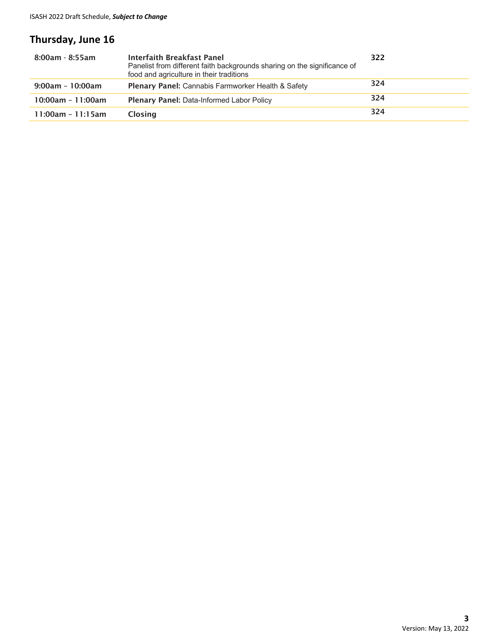## **Thursday, June 16**

| $8:00$ am - $8:55$ am | <b>Interfaith Breakfast Panel</b><br>Panelist from different faith backgrounds sharing on the significance of<br>food and agriculture in their traditions | 322 |
|-----------------------|-----------------------------------------------------------------------------------------------------------------------------------------------------------|-----|
| $9:00am - 10:00am$    | <b>Plenary Panel:</b> Cannabis Farmworker Health & Safety                                                                                                 | 324 |
| $10:00am - 11:00am$   | <b>Plenary Panel: Data-Informed Labor Policy</b>                                                                                                          | 324 |
| $11:00am - 11:15am$   | <b>Closing</b>                                                                                                                                            | 324 |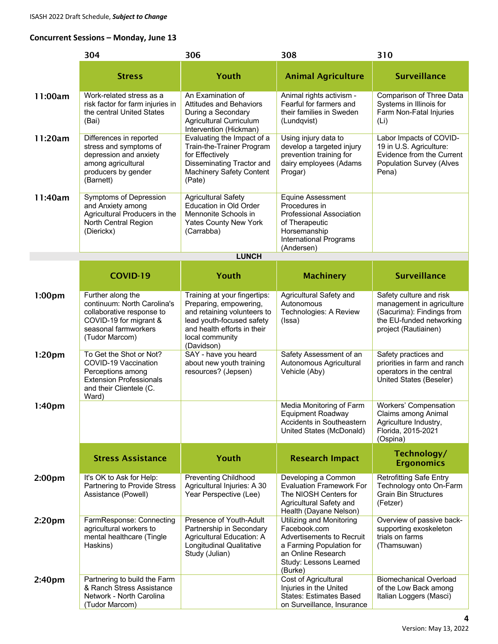#### **Concurrent Sessions – Monday, June 13**

|                    | 304                                                                                                                                               | 306                                                                                                                                                                                | 308                                                                                                                                                           | 310                                                                                                                                   |
|--------------------|---------------------------------------------------------------------------------------------------------------------------------------------------|------------------------------------------------------------------------------------------------------------------------------------------------------------------------------------|---------------------------------------------------------------------------------------------------------------------------------------------------------------|---------------------------------------------------------------------------------------------------------------------------------------|
|                    | <b>Stress</b>                                                                                                                                     | Youth                                                                                                                                                                              | <b>Animal Agriculture</b>                                                                                                                                     | <b>Surveillance</b>                                                                                                                   |
| 11:00am            | Work-related stress as a<br>risk factor for farm injuries in<br>the central United States<br>(Bai)                                                | An Examination of<br><b>Attitudes and Behaviors</b><br>During a Secondary<br>Agricultural Curriculum<br>Intervention (Hickman)                                                     | Animal rights activism -<br>Fearful for farmers and<br>their families in Sweden<br>(Lundqvist)                                                                | Comparison of Three Data<br>Systems in Illinois for<br>Farm Non-Fatal Injuries<br>(L)                                                 |
| 11:20am            | Differences in reported<br>stress and symptoms of<br>depression and anxiety<br>among agricultural<br>producers by gender<br>(Barnett)             | Evaluating the Impact of a<br>Train-the-Trainer Program<br>for Effectively<br>Disseminating Tractor and<br><b>Machinery Safety Content</b><br>(Pate)                               | Using injury data to<br>develop a targeted injury<br>prevention training for<br>dairy employees (Adams<br>Progar)                                             | Labor Impacts of COVID-<br>19 in U.S. Agriculture:<br>Evidence from the Current<br><b>Population Survey (Alves</b><br>Pena)           |
| 11:40am            | Symptoms of Depression<br>and Anxiety among<br>Agricultural Producers in the<br>North Central Region<br>(Dierickx)                                | <b>Agricultural Safety</b><br><b>Education in Old Order</b><br>Mennonite Schools in<br><b>Yates County New York</b><br>(Carrabba)                                                  | <b>Equine Assessment</b><br>Procedures in<br><b>Professional Association</b><br>of Therapeutic<br>Horsemanship<br><b>International Programs</b><br>(Andersen) |                                                                                                                                       |
|                    |                                                                                                                                                   | <b>LUNCH</b>                                                                                                                                                                       |                                                                                                                                                               |                                                                                                                                       |
|                    | <b>COVID-19</b>                                                                                                                                   | Youth                                                                                                                                                                              | <b>Machinery</b>                                                                                                                                              | <b>Surveillance</b>                                                                                                                   |
| 1:00 <sub>pm</sub> | Further along the<br>continuum: North Carolina's<br>collaborative response to<br>COVID-19 for migrant &<br>seasonal farmworkers<br>(Tudor Marcom) | Training at your fingertips:<br>Preparing, empowering,<br>and retaining volunteers to<br>lead youth-focused safety<br>and health efforts in their<br>local community<br>(Davidson) | Agricultural Safety and<br>Autonomous<br>Technologies: A Review<br>(Issa)                                                                                     | Safety culture and risk<br>management in agriculture<br>(Sacurima): Findings from<br>the EU-funded networking<br>project (Rautiainen) |
| 1:20 <sub>pm</sub> | To Get the Shot or Not?<br>COVID-19 Vaccination<br>Perceptions among<br><b>Extension Professionals</b><br>and their Clientele (C.<br>Ward)        | SAY - have you heard<br>about new youth training<br>resources? (Jepsen)                                                                                                            | Safety Assessment of an<br>Autonomous Agricultural<br>Vehicle (Aby)                                                                                           | Safety practices and<br>priorities in farm and ranch<br>operators in the central<br>United States (Beseler)                           |
| 1:40 <sub>pm</sub> |                                                                                                                                                   |                                                                                                                                                                                    | Media Monitoring of Farm<br><b>Equipment Roadway</b><br>Accidents in Southeastern<br>United States (McDonald)                                                 | Workers' Compensation<br>Claims among Animal<br>Agriculture Industry,<br>Florida, 2015-2021<br>(Ospina)                               |
|                    | <b>Stress Assistance</b>                                                                                                                          | Youth                                                                                                                                                                              | <b>Research Impact</b>                                                                                                                                        | Technology/<br><b>Ergonomics</b>                                                                                                      |
| 2:00 <sub>pm</sub> | It's OK to Ask for Help:<br>Partnering to Provide Stress<br>Assistance (Powell)                                                                   | <b>Preventing Childhood</b><br>Agricultural Injuries: A 30<br>Year Perspective (Lee)                                                                                               | Developing a Common<br><b>Evaluation Framework For</b><br>The NIOSH Centers for<br>Agricultural Safety and<br>Health (Dayane Nelson)                          | <b>Retrofitting Safe Entry</b><br>Technology onto On-Farm<br><b>Grain Bin Structures</b><br>(Fetzer)                                  |
| 2:20 <sub>pm</sub> | FarmResponse: Connecting<br>agricultural workers to<br>mental healthcare (Tingle<br>Haskins)                                                      | Presence of Youth-Adult<br>Partnership in Secondary<br>Agricultural Education: A<br><b>Longitudinal Qualitative</b><br>Study (Julian)                                              | Utilizing and Monitoring<br>Facebook.com<br>Advertisements to Recruit<br>a Farming Population for<br>an Online Research<br>Study: Lessons Learned<br>(Burke)  | Overview of passive back-<br>supporting exoskeleton<br>trials on farms<br>(Thamsuwan)                                                 |
| 2:40 <sub>pm</sub> | Partnering to build the Farm<br>& Ranch Stress Assistance<br>Network - North Carolina<br>(Tudor Marcom)                                           |                                                                                                                                                                                    | Cost of Agricultural<br>Injuries in the United<br><b>States: Estimates Based</b><br>on Surveillance, Insurance                                                | <b>Biomechanical Overload</b><br>of the Low Back among<br>Italian Loggers (Masci)                                                     |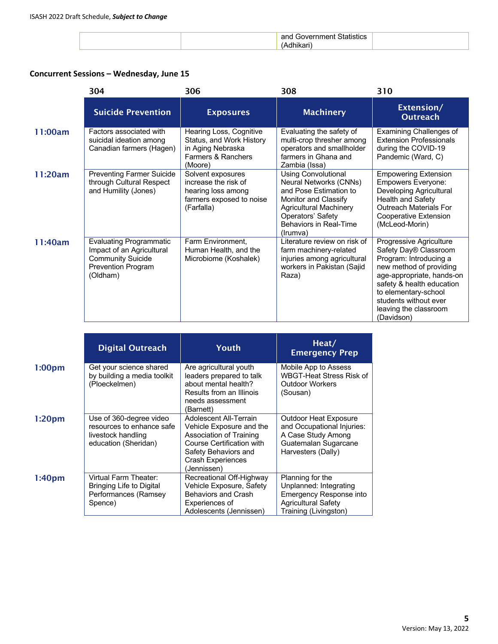| $\sim$<br>-5116<br>___<br>. |  |
|-----------------------------|--|
|                             |  |

#### **Concurrent Sessions – Wednesday, June 15**

|         | 304                                                                                                                              | 306                                                                                                       | 308                                                                                                                                                                                                       | 310                                                                                                                                                                                                                                                     |
|---------|----------------------------------------------------------------------------------------------------------------------------------|-----------------------------------------------------------------------------------------------------------|-----------------------------------------------------------------------------------------------------------------------------------------------------------------------------------------------------------|---------------------------------------------------------------------------------------------------------------------------------------------------------------------------------------------------------------------------------------------------------|
|         | <b>Suicide Prevention</b>                                                                                                        | <b>Exposures</b>                                                                                          | <b>Machinery</b>                                                                                                                                                                                          | Extension/<br><b>Outreach</b>                                                                                                                                                                                                                           |
| 11:00am | Factors associated with<br>suicidal ideation among<br>Canadian farmers (Hagen)                                                   | Hearing Loss, Cognitive<br>Status, and Work History<br>in Aging Nebraska<br>Farmers & Ranchers<br>(Moore) | Evaluating the safety of<br>multi-crop thresher among<br>operators and smallholder<br>farmers in Ghana and<br>Zambia (Issa)                                                                               | Examining Challenges of<br><b>Extension Professionals</b><br>during the COVID-19<br>Pandemic (Ward, C)                                                                                                                                                  |
| 11:20am | <b>Preventing Farmer Suicide</b><br>through Cultural Respect<br>and Humility (Jones)                                             | Solvent exposures<br>increase the risk of<br>hearing loss among<br>farmers exposed to noise<br>(Farfalla) | <b>Using Convolutional</b><br>Neural Networks (CNNs)<br>and Pose Estimation to<br>Monitor and Classify<br><b>Agricultural Machinery</b><br>Operators' Safety<br><b>Behaviors in Real-Time</b><br>(Irumva) | <b>Empowering Extension</b><br><b>Empowers Everyone:</b><br>Developing Agricultural<br><b>Health and Safety</b><br><b>Outreach Materials For</b><br>Cooperative Extension<br>(McLeod-Morin)                                                             |
| 11:40am | <b>Evaluating Programmatic</b><br>Impact of an Agricultural<br><b>Community Suicide</b><br><b>Prevention Program</b><br>(Oldham) | Farm Environment,<br>Human Health, and the<br>Microbiome (Koshalek)                                       | Literature review on risk of<br>farm machinery-related<br>injuries among agricultural<br>workers in Pakistan (Sajid<br>Raza)                                                                              | Progressive Agriculture<br>Safety Day® Classroom<br>Program: Introducing a<br>new method of providing<br>age-appropriate, hands-on<br>safety & health education<br>to elementary-school<br>students without ever<br>leaving the classroom<br>(Davidson) |

|                    | <b>Digital Outreach</b>                                                                            | <b>Youth</b>                                                                                                                                                                         | Heat/<br><b>Emergency Prep</b>                                                                                                      |
|--------------------|----------------------------------------------------------------------------------------------------|--------------------------------------------------------------------------------------------------------------------------------------------------------------------------------------|-------------------------------------------------------------------------------------------------------------------------------------|
| 1:00pm             | Get your science shared<br>by building a media toolkit<br>(Ploeckelmen)                            | Are agricultural youth<br>leaders prepared to talk<br>about mental health?<br>Results from an Illinois<br>needs assessment<br>(Barnett)                                              | Mobile App to Assess<br><b>WBGT-Heat Stress Risk of</b><br><b>Outdoor Workers</b><br>(Sousan)                                       |
| 1:20 <sub>pm</sub> | Use of 360-degree video<br>resources to enhance safe<br>livestock handling<br>education (Sheridan) | Adolescent All-Terrain<br>Vehicle Exposure and the<br>Association of Training<br><b>Course Certification with</b><br>Safety Behaviors and<br><b>Crash Experiences</b><br>(Jennissen) | <b>Outdoor Heat Exposure</b><br>and Occupational Injuries:<br>A Case Study Among<br>Guatemalan Sugarcane<br>Harvesters (Dally)      |
| 1:40 <sub>pm</sub> | Virtual Farm Theater:<br>Bringing Life to Digital<br>Performances (Ramsey<br>Spence)               | Recreational Off-Highway<br>Vehicle Exposure, Safety<br><b>Behaviors and Crash</b><br>Experiences of<br>Adolescents (Jennissen)                                                      | Planning for the<br>Unplanned: Integrating<br><b>Emergency Response into</b><br><b>Agricultural Safety</b><br>Training (Livingston) |